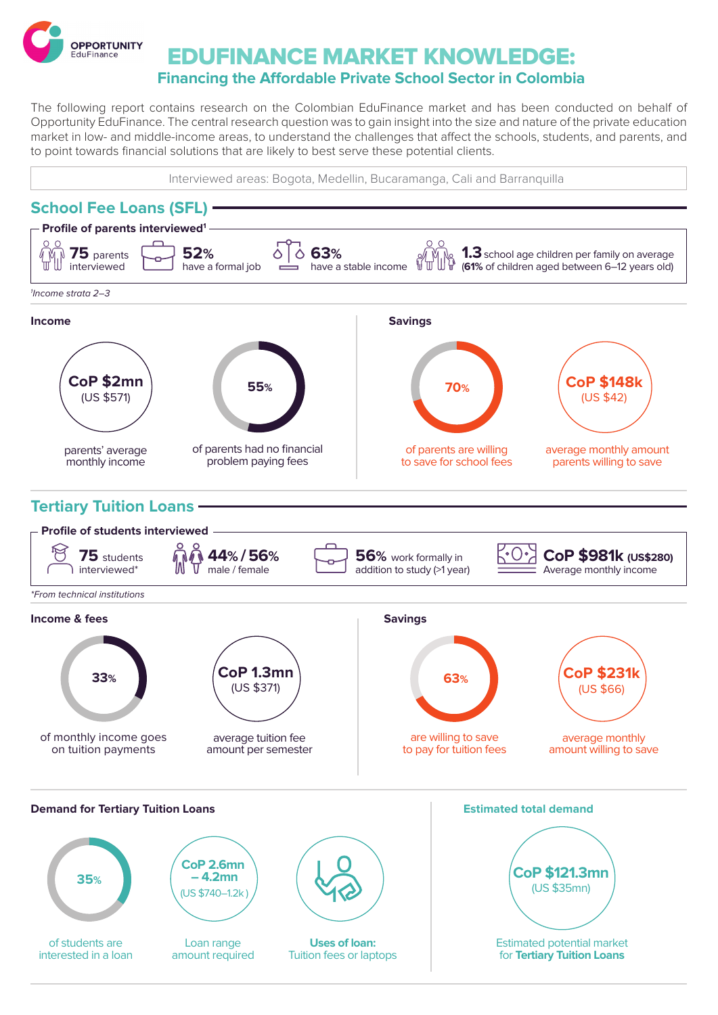

## EDUFINANCE MARKET KNOWLEDGE: **Financing the Affordable Private School Sector in Colombia**

The following report contains research on the Colombian EduFinance market and has been conducted on behalf of Opportunity EduFinance. The central research question was to gain insight into the size and nature of the private education market in low- and middle-income areas, to understand the challenges that affect the schools, students, and parents, and to point towards financial solutions that are likely to best serve these potential clients.

Interviewed areas: Bogota, Medellin, Bucaramanga, Cali and Barranquilla